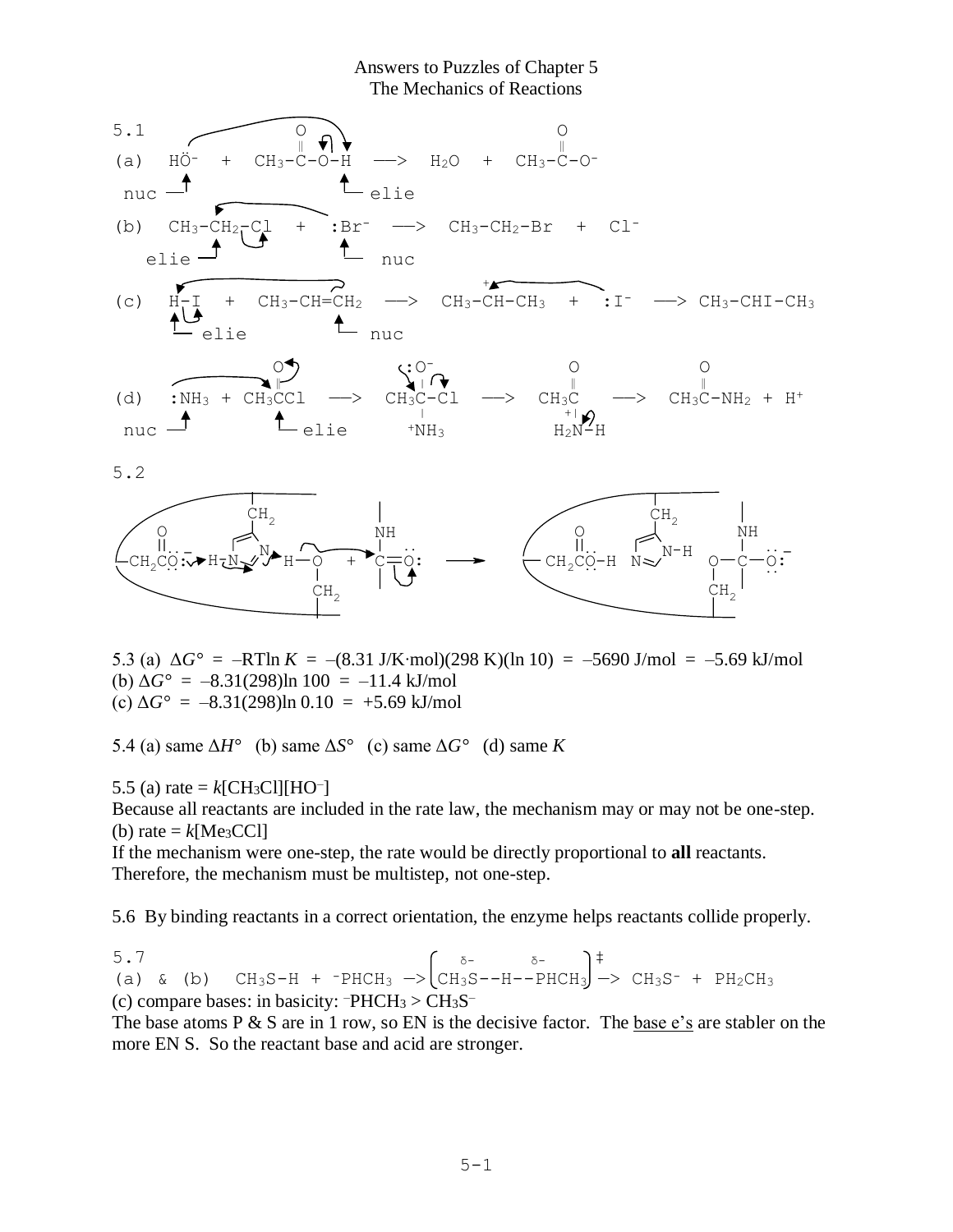Answers to Puzzles of Chapter 5 The Mechanics of Reactions



5.3 (a)  $\Delta G^{\circ}$  = –RTln *K* = –(8.31 J/K⋅mol)(298 K)(ln 10) = –5690 J/mol = –5.69 kJ/mol (b)  $\Delta G^{\circ} = -8.31(298) \ln 100 = -11.4 \text{ kJ/mol}$ (c)  $\Delta G^{\circ} = -8.31(298) \ln 0.10 = +5.69 \text{ kJ/mol}$ 

5.4 (a) same  $\Delta H^{\circ}$  (b) same  $\Delta S^{\circ}$  (c) same  $\Delta G^{\circ}$  (d) same *K* 

5.5 (a) rate =  $k$ [CH<sub>3</sub>Cl][HO<sup>-</sup>]

Because all reactants are included in the rate law, the mechanism may or may not be one-step. (b) rate  $= k$ [Me<sub>3</sub>CCl]

If the mechanism were one-step, the rate would be directly proportional to **all** reactants. Therefore, the mechanism must be multistep, not one-step.

5.6 By binding reactants in a correct orientation, the enzyme helps reactants collide properly.

5.7  $\delta$ -  $\delta$ -  $\delta$ -  $\delta$ +  $\delta$ (a) & (b)  $CH_3S-H$  +  $PHCH_3$   $\rightarrow$   $CH_3S--H--PHCH_3$   $\rightarrow$   $CH_3S^-$  +  $PH_2CH_3$ (c) compare bases: in basicity:  $\text{PHCH}_3$  >  $\text{CH}_3\text{S}^-$ 

The base atoms  $P \& S$  are in 1 row, so EN is the decisive factor. The base e's are stabler on the more EN S. So the reactant base and acid are stronger.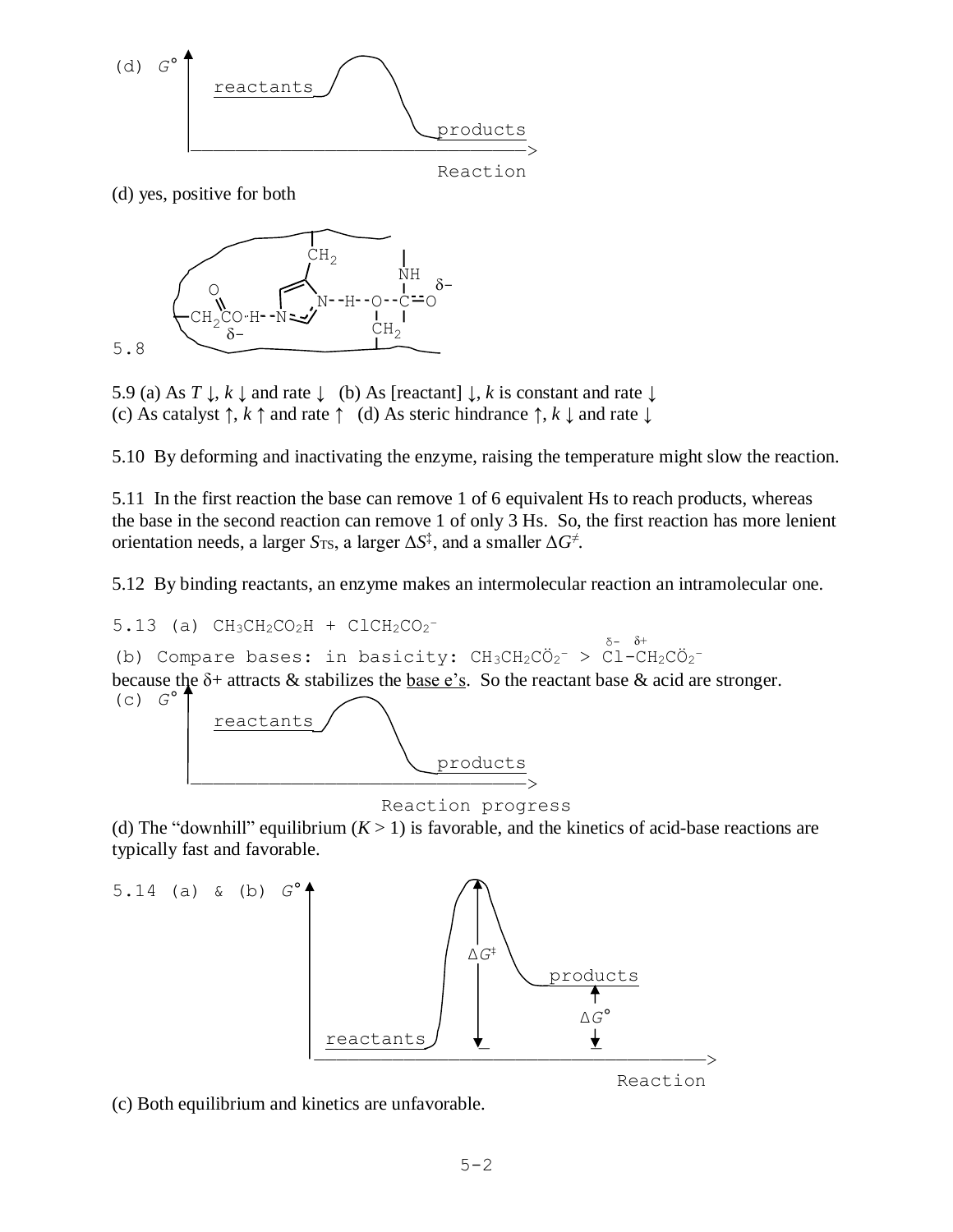

(d) yes, positive for both



5.9 (a) As  $T \downarrow$ ,  $k \downarrow$  and rate  $\downarrow$  (b) As [reactant]  $\downarrow$ ,  $k$  is constant and rate  $\downarrow$ (c) As catalyst  $\uparrow$ ,  $k \uparrow$  and rate  $\uparrow$  (d) As steric hindrance  $\uparrow$ ,  $k \downarrow$  and rate  $\downarrow$ 

5.10 By deforming and inactivating the enzyme, raising the temperature might slow the reaction.

5.11 In the first reaction the base can remove 1 of 6 equivalent Hs to reach products, whereas the base in the second reaction can remove 1 of only 3 Hs. So, the first reaction has more lenient orientation needs, a larger *S*TS, a larger Δ*S* ‡ , and a smaller Δ*G*<sup>≠</sup> .

5.12 By binding reactants, an enzyme makes an intermolecular reaction an intramolecular one.

## $5.13$  (a)  $CH_3CH_2CO_2H + CICH_2CO_2^-$

 $\delta$ - δ+<br>δ- δ+ (b) Compare bases: in basicity: CH3CH2CÖ2<sup>-</sup> > Cl-CH2CÖ2<sup>-</sup> because the  $\delta$ + attracts & stabilizes the base e's. So the reactant base & acid are stronger.  $(C)$   $G^{\circ}$ 



Reaction progress

(d) The "downhill" equilibrium  $(K > 1)$  is favorable, and the kinetics of acid-base reactions are typically fast and favorable.



(c) Both equilibrium and kinetics are unfavorable.

Reaction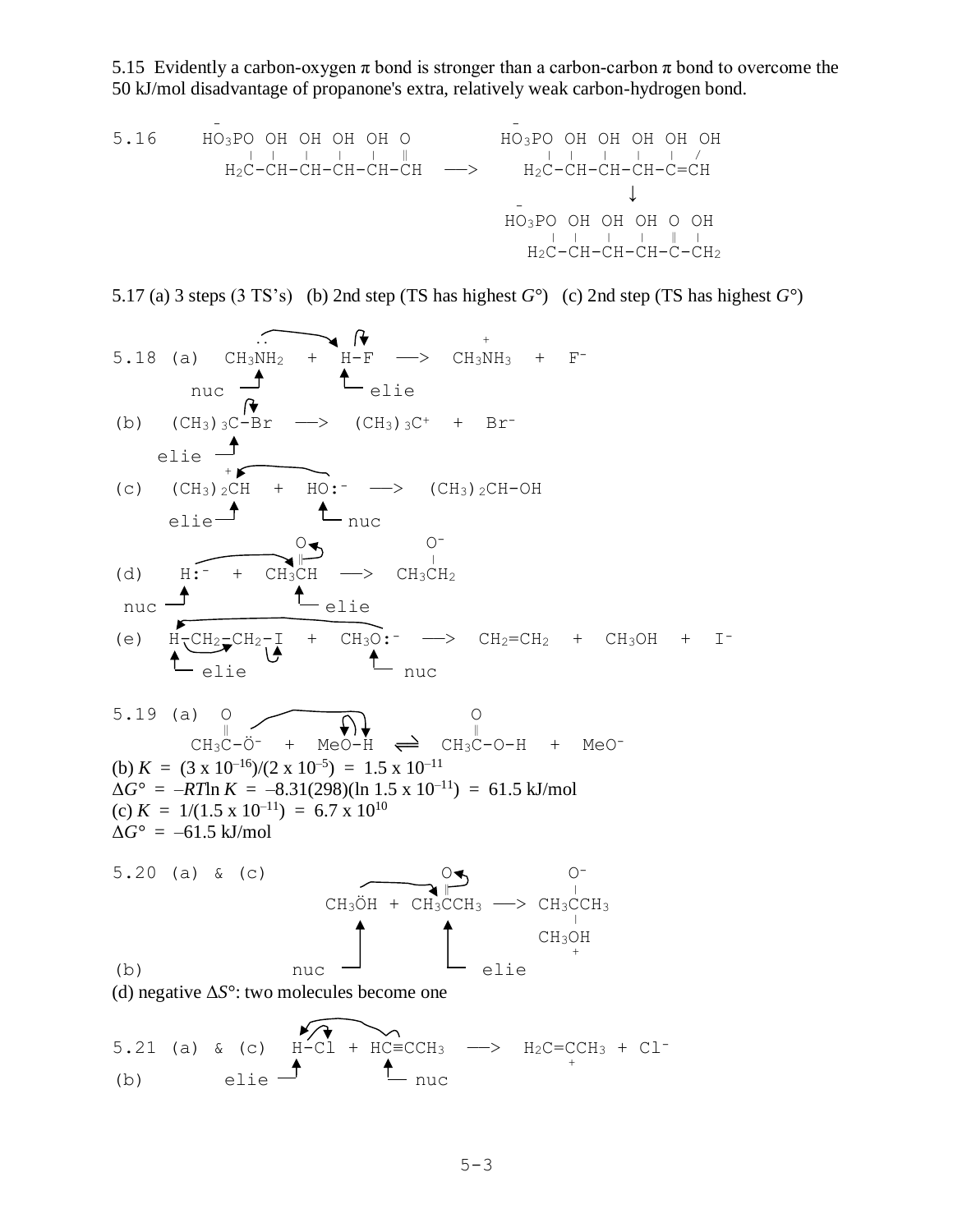5.15 Evidently a carbon-oxygen  $\pi$  bond is stronger than a carbon-carbon  $\pi$  bond to overcome the 50 kJ/mol disadvantage of propanone's extra, relatively weak carbon-hydrogen bond.

5.16 
$$
\overline{HO_3PO}
$$
 OH OH OH OH O  
\n $\overline{HO_3PO}$  OH OH OH H<sub>2</sub>C-CH-CH-CH-CH-CH-CH  
\n $\overline{H_2C}$ -CH-CH-CH-CH-CH  
\n $\overline{CO_3PO}$  OH OH OH OH  
\n $\overline{HO_3PO}$ OH OH OH OH  
\n $\overline{HO_3PO}$ OH OH OH OH  
\n $\overline{O_3PO}$ OH OH OH OH OH  
\n $\overline{O_3PO}$ OH OH OH OH OH  
\n $\overline{O_3PO}$ OH OH OH OH OH  
\n $\overline{O_3PO}$ OH OH OH OH OH  
\n $\overline{O_3PO}$ OH OH OH OH

5.17 (a) 3 steps (3 TS's) (b) 2nd step (TS has highest *G*°) (c) 2nd step (TS has highest *G*°)

5.18 (a) 
$$
CH_3NH_2 + H-F
$$
  
\n $nuC$   
\n(b)  $(CH_3) {}_3C - Br$   $\longrightarrow$   $(CH_3) {}_3C^+$  + Br-  
\nelie  
\n(c)  $(CH_3) {}_2CH + HO:^- \longrightarrow$   $(CH_3) {}_2CH-OH$   
\nelie  
\n $1$   $u$   $u$   
\n(d)  $H:^- + CH_3CH$   $\longrightarrow$   $CH_3CH_2$   
\n $nuC$   
\n(e)  $H_2CH_2-CH_2 + CH_3OH + I^-$   
\n $ellC$   
\n(f)  $l$   $u$   
\n $l$   $u$   
\n $l$   $l$   $u$   
\n $l$   $l$   $u$   
\n $l$   $u$   
\n $l$   $u$   
\n $l$   $l$   $u$   
\n $l$   $l$   $l$   
\n $l$   $l$   $u$   
\n $l$   $l$   $u$   
\n $l$   $l$   $l$   
\n $l$   $l$   $l$   
\n $l$   $l$   $l$   
\n $l$   $l$   $l$   
\n $l$   $l$   
\n $l$   $l$   
\n $l$   $l$   
\n $l$   $l$   
\n $l$   $l$   
\n $l$   $l$   
\n $l$   $l$   
\n $l$   $l$   
\n $l$   $l$   
\n $l$   $l$   
\n $l$   $l$   
\n $l$   $l$   
\n $l$  <

$$
3.21 (a) \times (c) \quad h=CL + HC=ICH_3 \quad \longrightarrow \quad H_2C=ICH_3
$$
\n(b) \quad elie \n
$$
1 \quad \text{puc}
$$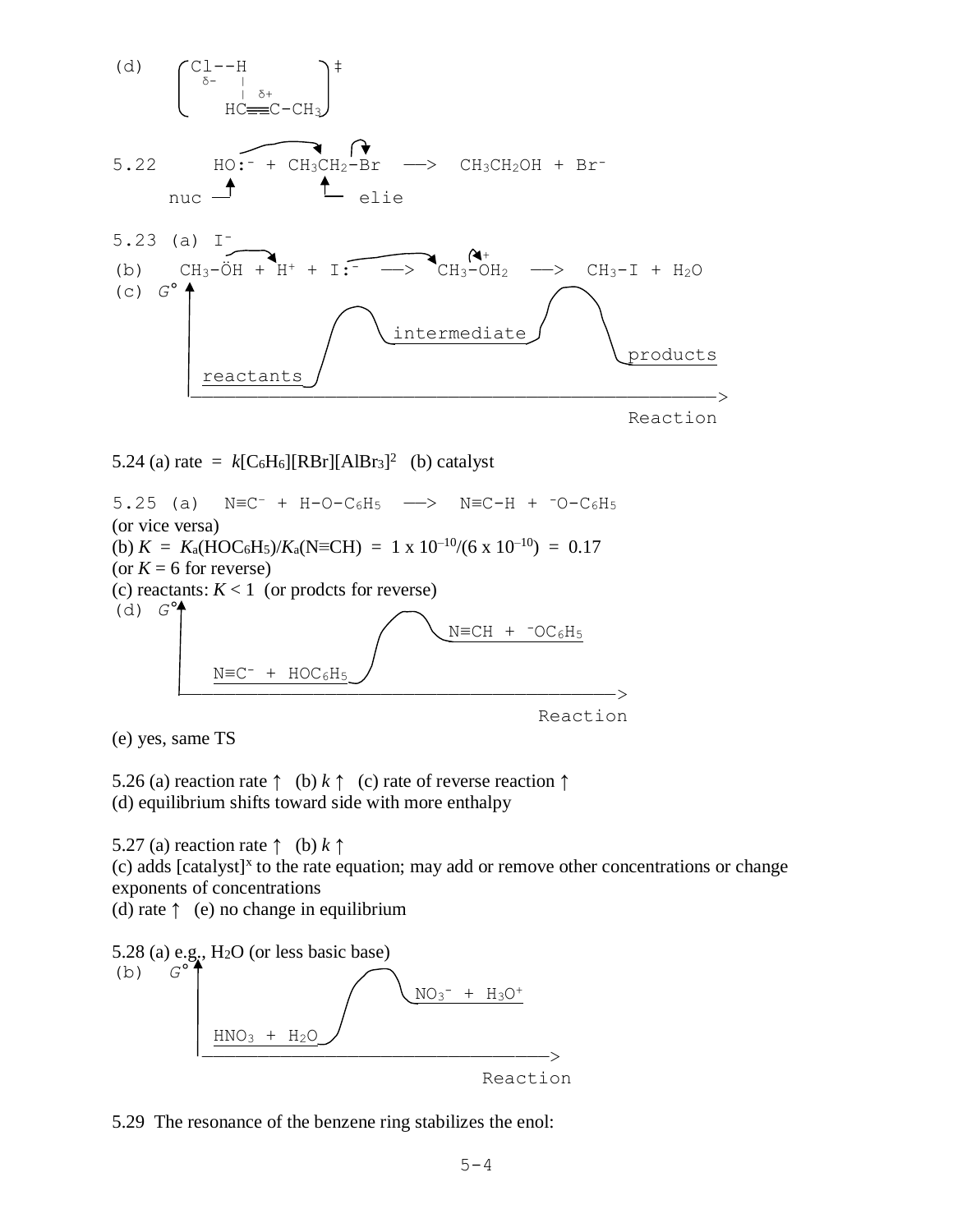



(e) yes, same TS

5.26 (a) reaction rate  $\uparrow$  (b)  $k \uparrow$  (c) rate of reverse reaction  $\uparrow$ (d) equilibrium shifts toward side with more enthalpy

5.27 (a) reaction rate ↑ (b) *k* ↑  $(c)$  adds [catalyst]<sup>x</sup> to the rate equation; may add or remove other concentrations or change exponents of concentrations

(d) rate  $\uparrow$  (e) no change in equilibrium

5.28 (a) e.g., H<sub>2</sub>O (or less basic base)  
\n(b) 
$$
G^{\circ}
$$
  
\nHNO<sub>3</sub> + H<sub>2</sub>O  
\n  
\n $\underline{HNO_3 + H_2O}$ 

Reaction

5.29 The resonance of the benzene ring stabilizes the enol: